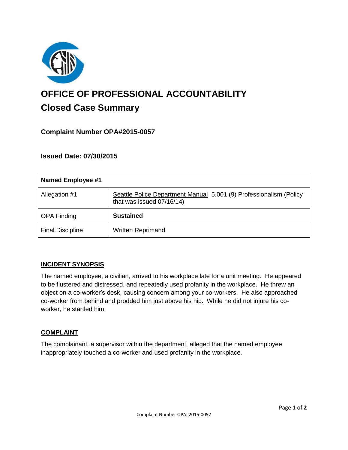

# **OFFICE OF PROFESSIONAL ACCOUNTABILITY Closed Case Summary**

## **Complaint Number OPA#2015-0057**

## **Issued Date: 07/30/2015**

| Named Employee #1       |                                                                                                 |
|-------------------------|-------------------------------------------------------------------------------------------------|
| Allegation #1           | Seattle Police Department Manual 5.001 (9) Professionalism (Policy<br>that was issued 07/16/14) |
| <b>OPA Finding</b>      | <b>Sustained</b>                                                                                |
| <b>Final Discipline</b> | <b>Written Reprimand</b>                                                                        |

## **INCIDENT SYNOPSIS**

The named employee, a civilian, arrived to his workplace late for a unit meeting. He appeared to be flustered and distressed, and repeatedly used profanity in the workplace. He threw an object on a co-worker's desk, causing concern among your co-workers. He also approached co-worker from behind and prodded him just above his hip. While he did not injure his coworker, he startled him.

#### **COMPLAINT**

The complainant, a supervisor within the department, alleged that the named employee inappropriately touched a co-worker and used profanity in the workplace.